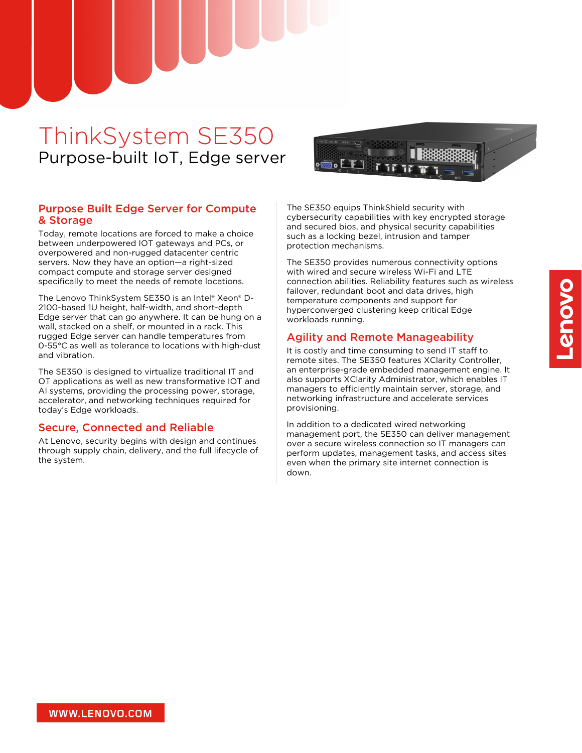# ThinkSystem SE350 Purpose-built IoT, Edge server

### Purpose Built Edge Server for Compute & Storage

Today, remote locations are forced to make a choice between underpowered IOT gateways and PCs, or overpowered and non-rugged datacenter centric servers. Now they have an option—a right-sized compact compute and storage server designed specifically to meet the needs of remote locations.

The Lenovo ThinkSystem SE350 is an Intel® Xeon® D-2100-based 1U height, half-width, and short-depth Edge server that can go anywhere. It can be hung on a wall, stacked on a shelf, or mounted in a rack. This rugged Edge server can handle temperatures from 0-55°C as well as tolerance to locations with high-dust and vibration.

The SE350 is designed to virtualize traditional IT and OT applications as well as new transformative IOT and AI systems, providing the processing power, storage, accelerator, and networking techniques required for today's Edge workloads.

#### Secure, Connected and Reliable

At Lenovo, security begins with design and continues through supply chain, delivery, and the full lifecycle of the system.

The SE350 equips ThinkShield security with cybersecurity capabilities with key encrypted storage and secured bios, and physical security capabilities such as a locking bezel, intrusion and tamper protection mechanisms.

The SE350 provides numerous connectivity options with wired and secure wireless Wi-Fi and LTE connection abilities. Reliability features such as wireless failover, redundant boot and data drives, high temperature components and support for hyperconverged clustering keep critical Edge workloads running.

### Agility and Remote Manageability

It is costly and time consuming to send IT staff to remote sites. The SE350 features XClarity Controller, an enterprise-grade embedded management engine. It also supports XClarity Administrator, which enables IT managers to efficiently maintain server, storage, and networking infrastructure and accelerate services provisioning.

In addition to a dedicated wired networking management port, the SE350 can deliver management over a secure wireless connection so IT managers can perform updates, management tasks, and access sites even when the primary site internet connection is down.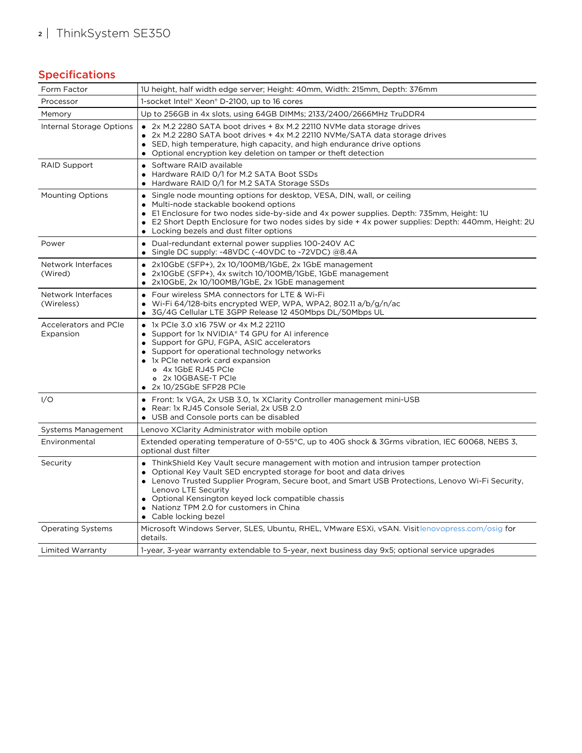## <sup>2</sup> | ThinkSystem SE350

### Specifications

| Form Factor                        | 1U height, half width edge server; Height: 40mm, Width: 215mm, Depth: 376mm                                                                                                                                                                                                                                                                                                                                          |
|------------------------------------|----------------------------------------------------------------------------------------------------------------------------------------------------------------------------------------------------------------------------------------------------------------------------------------------------------------------------------------------------------------------------------------------------------------------|
| Processor                          | 1-socket Intel® Xeon® D-2100, up to 16 cores                                                                                                                                                                                                                                                                                                                                                                         |
| Memory                             | Up to 256GB in 4x slots, using 64GB DIMMs; 2133/2400/2666MHz TruDDR4                                                                                                                                                                                                                                                                                                                                                 |
| Internal Storage Options           | • 2x M.2 2280 SATA boot drives + 8x M.2 22110 NVMe data storage drives<br>• 2x M.2 2280 SATA boot drives + 4x M.2 22110 NVMe/SATA data storage drives<br>• SED, high temperature, high capacity, and high endurance drive options<br>• Optional encryption key deletion on tamper or theft detection                                                                                                                 |
| <b>RAID Support</b>                | • Software RAID available<br>• Hardware RAID 0/1 for M.2 SATA Boot SSDs<br>Hardware RAID 0/1 for M.2 SATA Storage SSDs                                                                                                                                                                                                                                                                                               |
| <b>Mounting Options</b>            | • Single node mounting options for desktop, VESA, DIN, wall, or ceiling<br>• Multi-node stackable bookend options<br>• E1 Enclosure for two nodes side-by-side and 4x power supplies. Depth: 735mm, Height: 1U<br>E2 Short Depth Enclosure for two nodes sides by side + 4x power supplies: Depth: 440mm, Height: 2U<br>• Locking bezels and dust filter options                                                     |
| Power                              | • Dual-redundant external power supplies 100-240V AC<br>• Single DC supply: -48VDC (-40VDC to -72VDC) @8.4A                                                                                                                                                                                                                                                                                                          |
| Network Interfaces<br>(Wired)      | 2x10GbE (SFP+), 2x 10/100MB/1GbE, 2x 1GbE management<br>2x10GbE (SFP+), 4x switch 10/100MB/1GbE, 1GbE management<br>$\bullet$ 2x10GbE, 2x 10/100MB/1GbE, 2x 1GbE management                                                                                                                                                                                                                                          |
| Network Interfaces<br>(Wireless)   | • Four wireless SMA connectors for LTE & Wi-Fi<br>• Wi-Fi 64/128-bits encrypted WEP, WPA, WPA2, 802.11 a/b/g/n/ac<br>• 3G/4G Cellular LTE 3GPP Release 12 450Mbps DL/50Mbps UL                                                                                                                                                                                                                                       |
| Accelerators and PCIe<br>Expansion | • 1x PCIe 3.0 x16 75W or 4x M.2 22110<br>• Support for 1x NVIDIA® T4 GPU for AI inference<br>• Support for GPU, FGPA, ASIC accelerators<br>• Support for operational technology networks<br>• 1x PCIe network card expansion<br>o 4x 1GbE RJ45 PCIe<br>o 2x 10GBASE-T PCle<br>$\bullet$ 2x 10/25GbE SFP28 PCIe                                                                                                       |
| 1/O                                | • Front: 1x VGA, 2x USB 3.0, 1x XClarity Controller management mini-USB<br>• Rear: 1x RJ45 Console Serial, 2x USB 2.0<br>• USB and Console ports can be disabled                                                                                                                                                                                                                                                     |
| <b>Systems Management</b>          | Lenovo XClarity Administrator with mobile option                                                                                                                                                                                                                                                                                                                                                                     |
| Environmental                      | Extended operating temperature of 0-55°C, up to 40G shock & 3Grms vibration, IEC 60068, NEBS 3,<br>optional dust filter                                                                                                                                                                                                                                                                                              |
| Security                           | • ThinkShield Key Vault secure management with motion and intrusion tamper protection<br>• Optional Key Vault SED encrypted storage for boot and data drives<br>• Lenovo Trusted Supplier Program, Secure boot, and Smart USB Protections, Lenovo Wi-Fi Security,<br>Lenovo LTE Security<br>• Optional Kensington keyed lock compatible chassis<br>• Nationz TPM 2.0 for customers in China<br>• Cable locking bezel |
| <b>Operating Systems</b>           | Microsoft Windows Server, SLES, Ubuntu, RHEL, VMware ESXi, vSAN. Visitlenovopress.com/osiq for<br>details.                                                                                                                                                                                                                                                                                                           |
| Limited Warranty                   | 1-year, 3-year warranty extendable to 5-year, next business day 9x5; optional service upgrades                                                                                                                                                                                                                                                                                                                       |